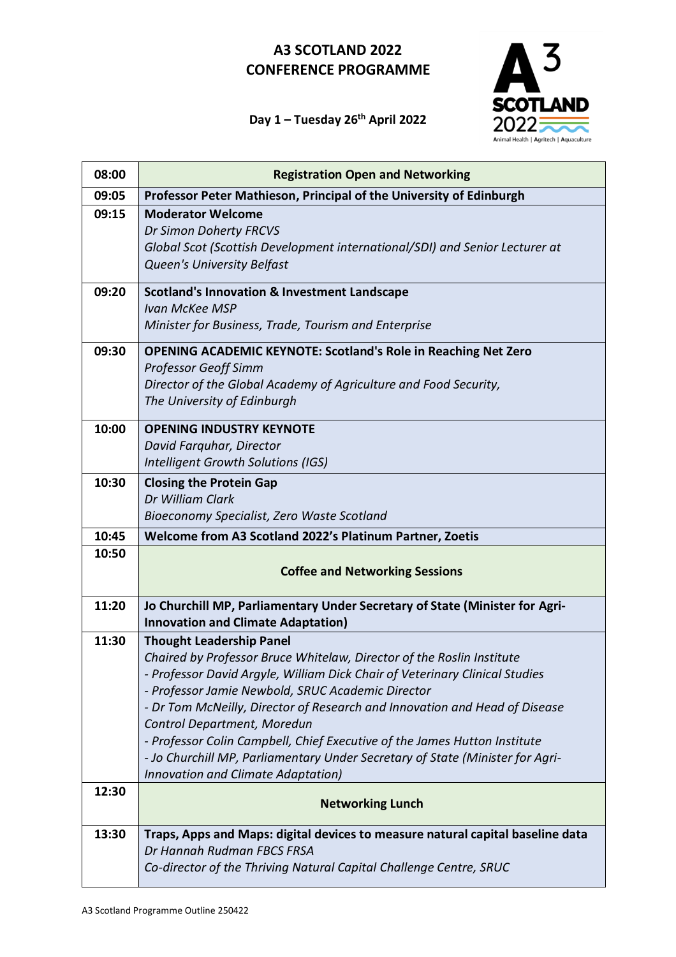

### **Day 1 – Tuesday 26 th April 2022**

| 08:00 | <b>Registration Open and Networking</b>                                                                                         |
|-------|---------------------------------------------------------------------------------------------------------------------------------|
| 09:05 | Professor Peter Mathieson, Principal of the University of Edinburgh                                                             |
| 09:15 | <b>Moderator Welcome</b>                                                                                                        |
|       | Dr Simon Doherty FRCVS                                                                                                          |
|       | Global Scot (Scottish Development international/SDI) and Senior Lecturer at                                                     |
|       | <b>Queen's University Belfast</b>                                                                                               |
| 09:20 | <b>Scotland's Innovation &amp; Investment Landscape</b>                                                                         |
|       | Ivan McKee MSP                                                                                                                  |
|       | Minister for Business, Trade, Tourism and Enterprise                                                                            |
| 09:30 | <b>OPENING ACADEMIC KEYNOTE: Scotland's Role in Reaching Net Zero</b>                                                           |
|       | <b>Professor Geoff Simm</b>                                                                                                     |
|       | Director of the Global Academy of Agriculture and Food Security,                                                                |
|       | The University of Edinburgh                                                                                                     |
| 10:00 | <b>OPENING INDUSTRY KEYNOTE</b>                                                                                                 |
|       | David Farquhar, Director                                                                                                        |
|       | Intelligent Growth Solutions (IGS)                                                                                              |
| 10:30 | <b>Closing the Protein Gap</b>                                                                                                  |
|       | Dr William Clark                                                                                                                |
|       | Bioeconomy Specialist, Zero Waste Scotland                                                                                      |
| 10:45 | Welcome from A3 Scotland 2022's Platinum Partner, Zoetis                                                                        |
| 10:50 |                                                                                                                                 |
|       | <b>Coffee and Networking Sessions</b>                                                                                           |
| 11:20 | Jo Churchill MP, Parliamentary Under Secretary of State (Minister for Agri-                                                     |
|       | <b>Innovation and Climate Adaptation)</b>                                                                                       |
| 11:30 | <b>Thought Leadership Panel</b>                                                                                                 |
|       | Chaired by Professor Bruce Whitelaw, Director of the Roslin Institute                                                           |
|       | - Professor David Argyle, William Dick Chair of Veterinary Clinical Studies                                                     |
|       | - Professor Jamie Newbold, SRUC Academic Director<br>- Dr Tom McNeilly, Director of Research and Innovation and Head of Disease |
|       | Control Department, Moredun                                                                                                     |
|       | - Professor Colin Campbell, Chief Executive of the James Hutton Institute                                                       |
|       | - Jo Churchill MP, Parliamentary Under Secretary of State (Minister for Agri-                                                   |
|       | Innovation and Climate Adaptation)                                                                                              |
| 12:30 | <b>Networking Lunch</b>                                                                                                         |
|       |                                                                                                                                 |
| 13:30 | Traps, Apps and Maps: digital devices to measure natural capital baseline data                                                  |
|       | Dr Hannah Rudman FBCS FRSA                                                                                                      |
|       | Co-director of the Thriving Natural Capital Challenge Centre, SRUC                                                              |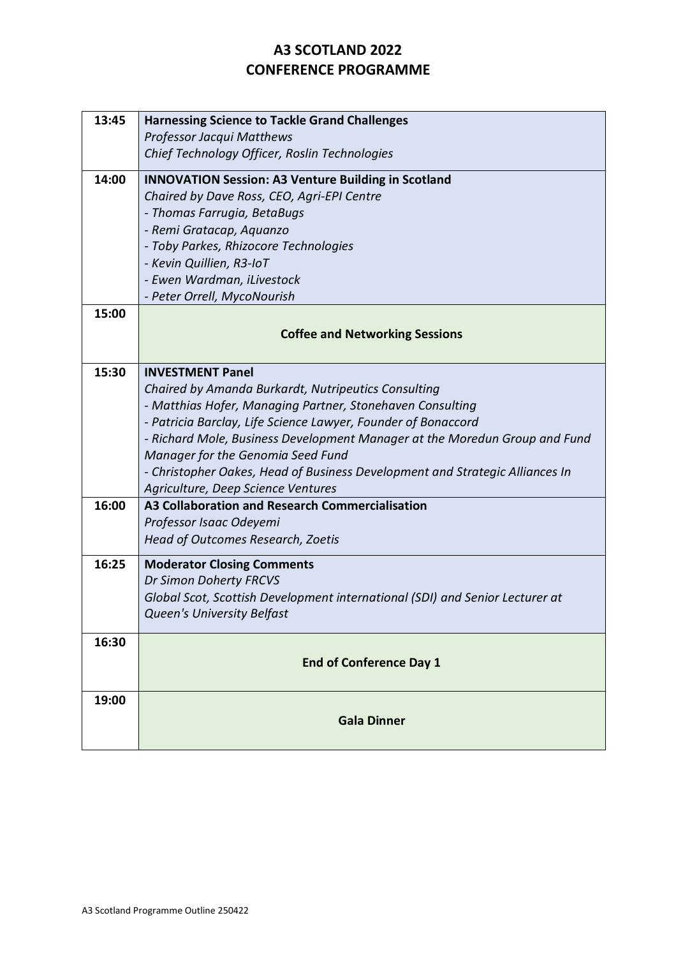| 13:45 | <b>Harnessing Science to Tackle Grand Challenges</b>                         |
|-------|------------------------------------------------------------------------------|
|       | <b>Professor Jacqui Matthews</b>                                             |
|       | Chief Technology Officer, Roslin Technologies                                |
| 14:00 | <b>INNOVATION Session: A3 Venture Building in Scotland</b>                   |
|       | Chaired by Dave Ross, CEO, Agri-EPI Centre                                   |
|       | - Thomas Farrugia, BetaBugs                                                  |
|       | - Remi Gratacap, Aquanzo                                                     |
|       | - Toby Parkes, Rhizocore Technologies                                        |
|       | - Kevin Quillien, R3-IoT                                                     |
|       | - Ewen Wardman, iLivestock                                                   |
|       | - Peter Orrell, MycoNourish                                                  |
| 15:00 |                                                                              |
|       | <b>Coffee and Networking Sessions</b>                                        |
|       |                                                                              |
| 15:30 | <b>INVESTMENT Panel</b>                                                      |
|       | Chaired by Amanda Burkardt, Nutripeutics Consulting                          |
|       | - Matthias Hofer, Managing Partner, Stonehaven Consulting                    |
|       | - Patricia Barclay, Life Science Lawyer, Founder of Bonaccord                |
|       | - Richard Mole, Business Development Manager at the Moredun Group and Fund   |
|       | Manager for the Genomia Seed Fund                                            |
|       | - Christopher Oakes, Head of Business Development and Strategic Alliances In |
|       | Agriculture, Deep Science Ventures                                           |
| 16:00 | A3 Collaboration and Research Commercialisation                              |
|       | Professor Isaac Odeyemi                                                      |
|       | Head of Outcomes Research, Zoetis                                            |
| 16:25 | <b>Moderator Closing Comments</b>                                            |
|       | Dr Simon Doherty FRCVS                                                       |
|       | Global Scot, Scottish Development international (SDI) and Senior Lecturer at |
|       | Queen's University Belfast                                                   |
| 16:30 |                                                                              |
|       | <b>End of Conference Day 1</b>                                               |
|       |                                                                              |
| 19:00 |                                                                              |
|       | <b>Gala Dinner</b>                                                           |
|       |                                                                              |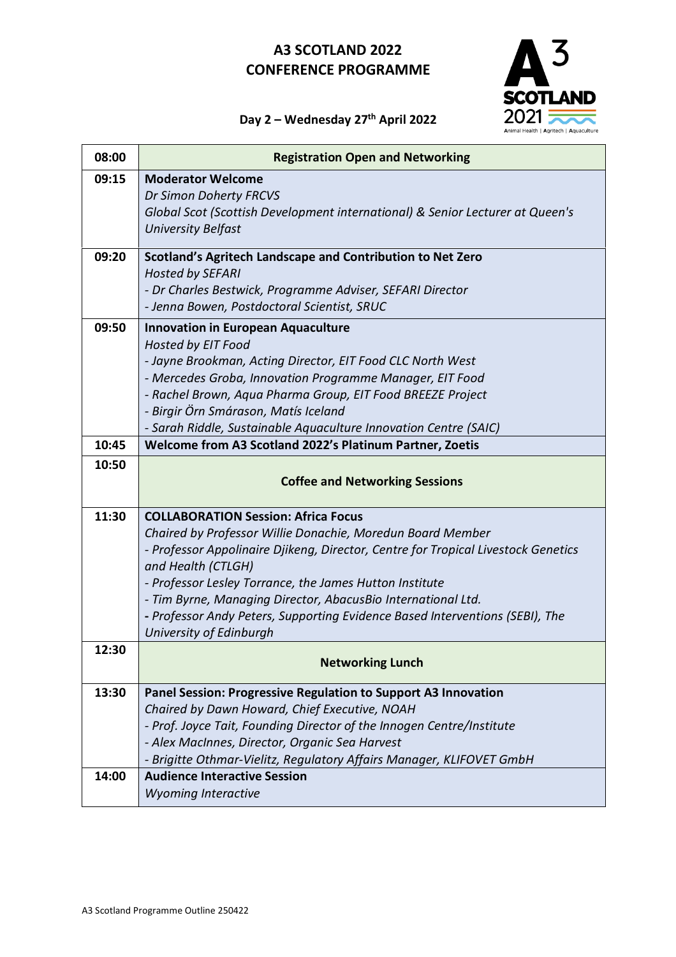

#### **Day 2 – Wednesday 27 th April 2022**

| 08:00 | <b>Registration Open and Networking</b>                                           |
|-------|-----------------------------------------------------------------------------------|
| 09:15 | <b>Moderator Welcome</b>                                                          |
|       | Dr Simon Doherty FRCVS                                                            |
|       | Global Scot (Scottish Development international) & Senior Lecturer at Queen's     |
|       | <b>University Belfast</b>                                                         |
| 09:20 | Scotland's Agritech Landscape and Contribution to Net Zero                        |
|       | <b>Hosted by SEFARI</b>                                                           |
|       | - Dr Charles Bestwick, Programme Adviser, SEFARI Director                         |
|       | - Jenna Bowen, Postdoctoral Scientist, SRUC                                       |
| 09:50 | <b>Innovation in European Aquaculture</b>                                         |
|       | Hosted by EIT Food                                                                |
|       | - Jayne Brookman, Acting Director, EIT Food CLC North West                        |
|       | - Mercedes Groba, Innovation Programme Manager, EIT Food                          |
|       | - Rachel Brown, Aqua Pharma Group, EIT Food BREEZE Project                        |
|       | - Birgir Örn Smárason, Matís Iceland                                              |
|       | - Sarah Riddle, Sustainable Aquaculture Innovation Centre (SAIC)                  |
| 10:45 | Welcome from A3 Scotland 2022's Platinum Partner, Zoetis                          |
| 10:50 |                                                                                   |
|       | <b>Coffee and Networking Sessions</b>                                             |
| 11:30 | <b>COLLABORATION Session: Africa Focus</b>                                        |
|       | Chaired by Professor Willie Donachie, Moredun Board Member                        |
|       | - Professor Appolinaire Djikeng, Director, Centre for Tropical Livestock Genetics |
|       | and Health (CTLGH)                                                                |
|       | - Professor Lesley Torrance, the James Hutton Institute                           |
|       | - Tim Byrne, Managing Director, AbacusBio International Ltd.                      |
|       | - Professor Andy Peters, Supporting Evidence Based Interventions (SEBI), The      |
|       | University of Edinburgh                                                           |
| 12:30 | <b>Networking Lunch</b>                                                           |
|       |                                                                                   |
| 13:30 | Panel Session: Progressive Regulation to Support A3 Innovation                    |
|       | Chaired by Dawn Howard, Chief Executive, NOAH                                     |
|       | - Prof. Joyce Tait, Founding Director of the Innogen Centre/Institute             |
|       | - Alex MacInnes, Director, Organic Sea Harvest                                    |
|       | - Brigitte Othmar-Vielitz, Regulatory Affairs Manager, KLIFOVET GmbH              |
| 14:00 | <b>Audience Interactive Session</b>                                               |
|       | <b>Wyoming Interactive</b>                                                        |